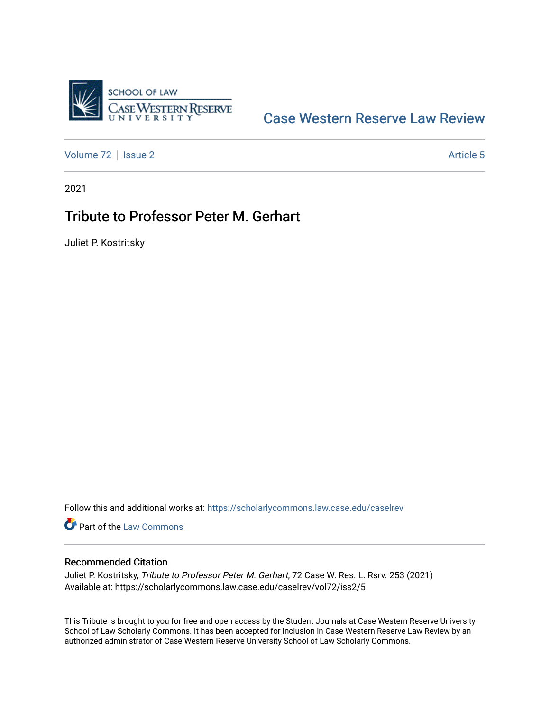

## [Case Western Reserve Law Review](https://scholarlycommons.law.case.edu/caselrev)

[Volume 72](https://scholarlycommons.law.case.edu/caselrev/vol72) | [Issue 2](https://scholarlycommons.law.case.edu/caselrev/vol72/iss2) Article 5

2021

## Tribute to Professor Peter M. Gerhart

Juliet P. Kostritsky

Follow this and additional works at: [https://scholarlycommons.law.case.edu/caselrev](https://scholarlycommons.law.case.edu/caselrev?utm_source=scholarlycommons.law.case.edu%2Fcaselrev%2Fvol72%2Fiss2%2F5&utm_medium=PDF&utm_campaign=PDFCoverPages)

**Part of the [Law Commons](https://network.bepress.com/hgg/discipline/578?utm_source=scholarlycommons.law.case.edu%2Fcaselrev%2Fvol72%2Fiss2%2F5&utm_medium=PDF&utm_campaign=PDFCoverPages)** 

## Recommended Citation

Juliet P. Kostritsky, Tribute to Professor Peter M. Gerhart, 72 Case W. Res. L. Rsrv. 253 (2021) Available at: https://scholarlycommons.law.case.edu/caselrev/vol72/iss2/5

This Tribute is brought to you for free and open access by the Student Journals at Case Western Reserve University School of Law Scholarly Commons. It has been accepted for inclusion in Case Western Reserve Law Review by an authorized administrator of Case Western Reserve University School of Law Scholarly Commons.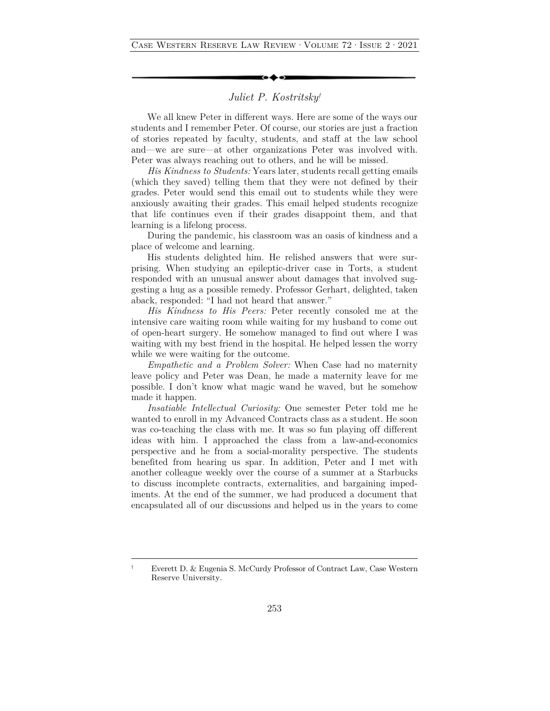## *Juliet P. Kostritsky†*

We all knew Peter in different ways. Here are some of the ways our students and I remember Peter. Of course, our stories are just a fraction of stories repeated by faculty, students, and staff at the law school and—we are sure—at other organizations Peter was involved with. Peter was always reaching out to others, and he will be missed.

*His Kindness to Students:* Years later, students recall getting emails (which they saved) telling them that they were not defined by their grades. Peter would send this email out to students while they were anxiously awaiting their grades. This email helped students recognize that life continues even if their grades disappoint them, and that learning is a lifelong process.

During the pandemic, his classroom was an oasis of kindness and a place of welcome and learning.

His students delighted him. He relished answers that were surprising. When studying an epileptic-driver case in Torts, a student responded with an unusual answer about damages that involved suggesting a hug as a possible remedy. Professor Gerhart, delighted, taken aback, responded: "I had not heard that answer."

*His Kindness to His Peers:* Peter recently consoled me at the intensive care waiting room while waiting for my husband to come out of open-heart surgery. He somehow managed to find out where I was waiting with my best friend in the hospital. He helped lessen the worry while we were waiting for the outcome.

*Empathetic and a Problem Solver:* When Case had no maternity leave policy and Peter was Dean, he made a maternity leave for me possible. I don't know what magic wand he waved, but he somehow made it happen.

*Insatiable Intellectual Curiosity:* One semester Peter told me he wanted to enroll in my Advanced Contracts class as a student. He soon was co-teaching the class with me. It was so fun playing off different ideas with him. I approached the class from a law-and-economics perspective and he from a social-morality perspective. The students benefited from hearing us spar. In addition, Peter and I met with another colleague weekly over the course of a summer at a Starbucks to discuss incomplete contracts, externalities, and bargaining impediments. At the end of the summer, we had produced a document that encapsulated all of our discussions and helped us in the years to come

<sup>†</sup> Everett D. & Eugenia S. McCurdy Professor of Contract Law, Case Western Reserve University.